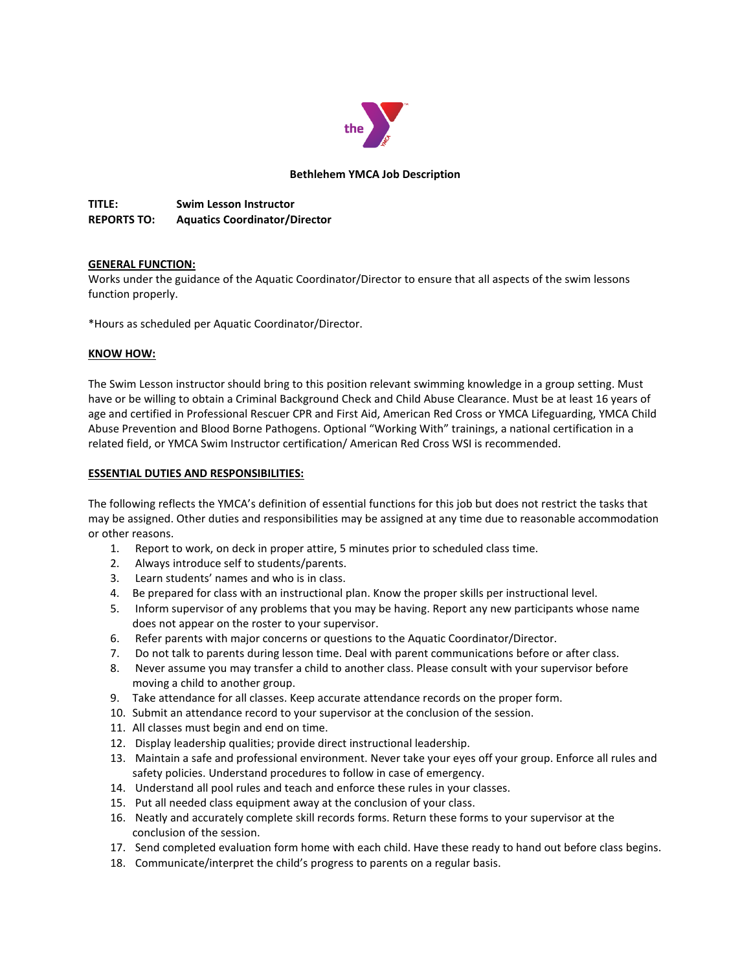

# **Bethlehem YMCA Job Description**

**TITLE: Swim Lesson Instructor REPORTS TO: Aquatics Coordinator/Director**

# **GENERAL FUNCTION:**

Works under the guidance of the Aquatic Coordinator/Director to ensure that all aspects of the swim lessons function properly.

\*Hours as scheduled per Aquatic Coordinator/Director.

# **KNOW HOW:**

The Swim Lesson instructor should bring to this position relevant swimming knowledge in a group setting. Must have or be willing to obtain a Criminal Background Check and Child Abuse Clearance. Must be at least 16 years of age and certified in Professional Rescuer CPR and First Aid, American Red Cross or YMCA Lifeguarding, YMCA Child Abuse Prevention and Blood Borne Pathogens. Optional "Working With" trainings, a national certification in a related field, or YMCA Swim Instructor certification/ American Red Cross WSI is recommended.

### **ESSENTIAL DUTIES AND RESPONSIBILITIES:**

The following reflects the YMCA's definition of essential functions for this job but does not restrict the tasks that may be assigned. Other duties and responsibilities may be assigned at any time due to reasonable accommodation or other reasons.

- 1. Report to work, on deck in proper attire, 5 minutes prior to scheduled class time.
- 2. Always introduce self to students/parents.
- 3. Learn students' names and who is in class.
- 4. Be prepared for class with an instructional plan. Know the proper skills per instructional level.
- 5. Inform supervisor of any problems that you may be having. Report any new participants whose name does not appear on the roster to your supervisor.
- 6. Refer parents with major concerns or questions to the Aquatic Coordinator/Director.
- 7. Do not talk to parents during lesson time. Deal with parent communications before or after class.
- 8. Never assume you may transfer a child to another class. Please consult with your supervisor before moving a child to another group.
- 9. Take attendance for all classes. Keep accurate attendance records on the proper form.
- 10. Submit an attendance record to your supervisor at the conclusion of the session.
- 11. All classes must begin and end on time.
- 12. Display leadership qualities; provide direct instructional leadership.
- 13. Maintain a safe and professional environment. Never take your eyes off your group. Enforce all rules and safety policies. Understand procedures to follow in case of emergency.
- 14. Understand all pool rules and teach and enforce these rules in your classes.
- 15. Put all needed class equipment away at the conclusion of your class.
- 16. Neatly and accurately complete skill records forms. Return these forms to your supervisor at the conclusion of the session.
- 17. Send completed evaluation form home with each child. Have these ready to hand out before class begins.
- 18. Communicate/interpret the child's progress to parents on a regular basis.